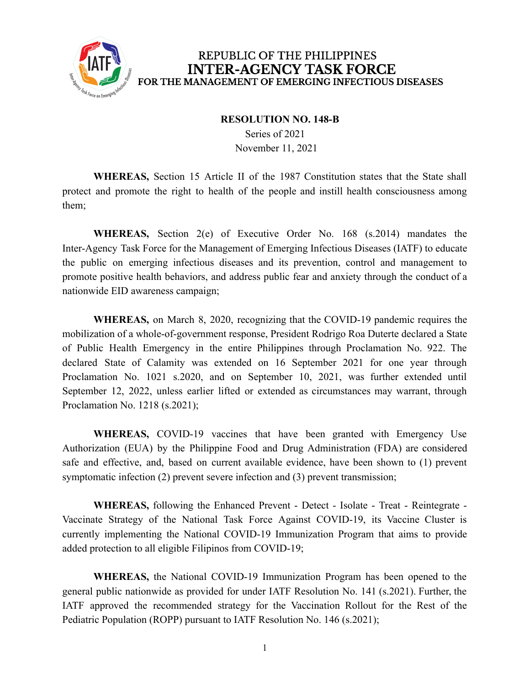

## **RESOLUTION NO. 148-B**

Series of 2021 November 11, 2021

**WHEREAS,** Section 15 Article II of the 1987 Constitution states that the State shall protect and promote the right to health of the people and instill health consciousness among them;

**WHEREAS,** Section 2(e) of Executive Order No. 168 (s.2014) mandates the Inter-Agency Task Force for the Management of Emerging Infectious Diseases (IATF) to educate the public on emerging infectious diseases and its prevention, control and management to promote positive health behaviors, and address public fear and anxiety through the conduct of a nationwide EID awareness campaign;

**WHEREAS,** on March 8, 2020, recognizing that the COVID-19 pandemic requires the mobilization of a whole-of-government response, President Rodrigo Roa Duterte declared a State of Public Health Emergency in the entire Philippines through Proclamation No. 922. The declared State of Calamity was extended on 16 September 2021 for one year through Proclamation No. 1021 s.2020, and on September 10, 2021, was further extended until September 12, 2022, unless earlier lifted or extended as circumstances may warrant, through Proclamation No. 1218 (s.2021);

**WHEREAS,** COVID-19 vaccines that have been granted with Emergency Use Authorization (EUA) by the Philippine Food and Drug Administration (FDA) are considered safe and effective, and, based on current available evidence, have been shown to (1) prevent symptomatic infection (2) prevent severe infection and (3) prevent transmission;

**WHEREAS,** following the Enhanced Prevent - Detect - Isolate - Treat - Reintegrate - Vaccinate Strategy of the National Task Force Against COVID-19, its Vaccine Cluster is currently implementing the National COVID-19 Immunization Program that aims to provide added protection to all eligible Filipinos from COVID-19;

**WHEREAS,** the National COVID-19 Immunization Program has been opened to the general public nationwide as provided for under IATF Resolution No. 141 (s.2021). Further, the IATF approved the recommended strategy for the Vaccination Rollout for the Rest of the Pediatric Population (ROPP) pursuant to IATF Resolution No. 146 (s.2021);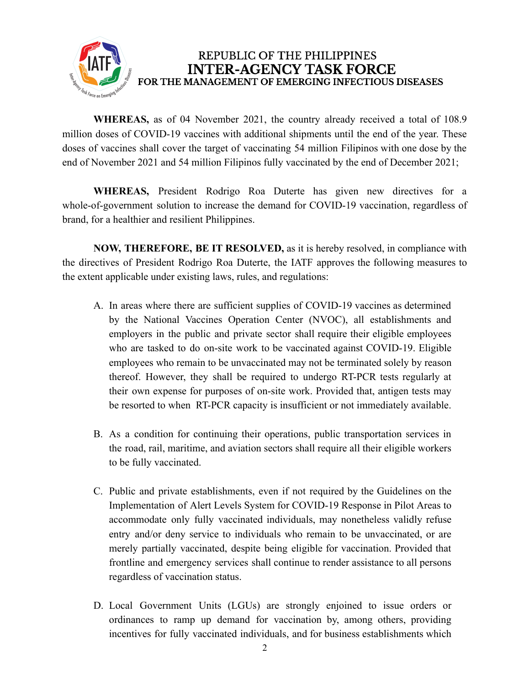

**WHEREAS,** as of 04 November 2021, the country already received a total of 108.9 million doses of COVID-19 vaccines with additional shipments until the end of the year. These doses of vaccines shall cover the target of vaccinating 54 million Filipinos with one dose by the end of November 2021 and 54 million Filipinos fully vaccinated by the end of December 2021;

**WHEREAS,** President Rodrigo Roa Duterte has given new directives for a whole-of-government solution to increase the demand for COVID-19 vaccination, regardless of brand, for a healthier and resilient Philippines.

**NOW, THEREFORE, BE IT RESOLVED,** as it is hereby resolved, in compliance with the directives of President Rodrigo Roa Duterte, the IATF approves the following measures to the extent applicable under existing laws, rules, and regulations:

- A. In areas where there are sufficient supplies of COVID-19 vaccines as determined by the National Vaccines Operation Center (NVOC), all establishments and employers in the public and private sector shall require their eligible employees who are tasked to do on-site work to be vaccinated against COVID-19. Eligible employees who remain to be unvaccinated may not be terminated solely by reason thereof. However, they shall be required to undergo RT-PCR tests regularly at their own expense for purposes of on-site work. Provided that, antigen tests may be resorted to when RT-PCR capacity is insufficient or not immediately available.
- B. As a condition for continuing their operations, public transportation services in the road, rail, maritime, and aviation sectors shall require all their eligible workers to be fully vaccinated.
- C. Public and private establishments, even if not required by the Guidelines on the Implementation of Alert Levels System for COVID-19 Response in Pilot Areas to accommodate only fully vaccinated individuals, may nonetheless validly refuse entry and/or deny service to individuals who remain to be unvaccinated, or are merely partially vaccinated, despite being eligible for vaccination. Provided that frontline and emergency services shall continue to render assistance to all persons regardless of vaccination status.
- D. Local Government Units (LGUs) are strongly enjoined to issue orders or ordinances to ramp up demand for vaccination by, among others, providing incentives for fully vaccinated individuals, and for business establishments which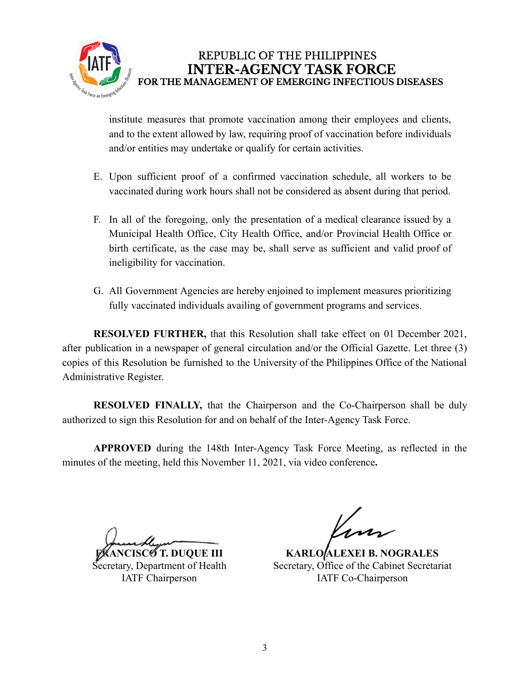

institute measures that promote vaccination among their employees and clients, and to the extent allowed by law, requiring proof of vaccination before individuals and/or entities may undertake or qualify for certain activities.

- E. Upon sufficient proof of a confirmed vaccination schedule, all workers to be vaccinated during work hours shall not be considered as absent during that period.
- F. In all of the foregoing, only the presentation of a medical clearance issued by a Municipal Health Office, City Health Office, and/or Provincial Health Office or birth certificate, as the case may be, shall serve as sufficient and valid proof of ineligibility for vaccination.
- G. All Government Agencies are hereby enjoined to implement measures prioritizing fully vaccinated individuals availing of government programs and services.

**RESOLVED FURTHER,** that this Resolution shall take effect on 01 December 2021, after publication in a newspaper of general circulation and/or the Official Gazette. Let three (3) copies of this Resolution be furnished to the University of the Philippines Office of the National Administrative Register.

**RESOLVED FINALLY,** that the Chairperson and the Co-Chairperson shall be duly authorized to sign this Resolution for and on behalf of the Inter-Agency Task Force.

**APPROVED** during the 148th Inter-Agency Task Force Meeting, as reflected in the minutes of the meeting, held this November 11, 2021, via video conference**.**

**FRANCISCO T. DUQUE III** Secretary, Department of Health IATF Chairperson

**KARLO ALEXEI B. NOGRALES** Secretary, Office of the Cabinet Secretariat IATF Co-Chairperson